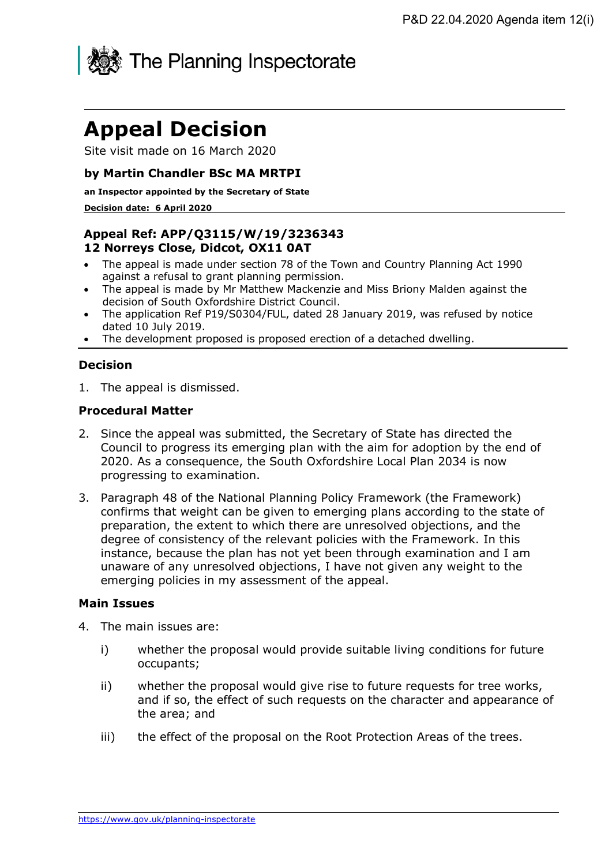

# **Appeal Decision**

Site visit made on 16 March 2020

## **by Martin Chandler BSc MA MRTPI**

**an Inspector appointed by the Secretary of State** 

#### **Decision date: 6 April 2020**

## **Appeal Ref: APP/Q3115/W/19/3236343 12 Norreys Close, Didcot, OX11 0AT**

- The appeal is made under section 78 of the Town and Country Planning Act 1990 against a refusal to grant planning permission.
- The appeal is made by Mr Matthew Mackenzie and Miss Briony Malden against the decision of South Oxfordshire District Council.
- The application Ref P19/S0304/FUL, dated 28 January 2019, was refused by notice dated 10 July 2019.
- The development proposed is proposed erection of a detached dwelling.

## **Decision**

1. The appeal is dismissed.

### **Procedural Matter**

- 2. Since the appeal was submitted, the Secretary of State has directed the Council to progress its emerging plan with the aim for adoption by the end of 2020. As a consequence, the South Oxfordshire Local Plan 2034 is now progressing to examination.
- 3. Paragraph 48 of the National Planning Policy Framework (the Framework) confirms that weight can be given to emerging plans according to the state of preparation, the extent to which there are unresolved objections, and the degree of consistency of the relevant policies with the Framework. In this instance, because the plan has not yet been through examination and I am unaware of any unresolved objections, I have not given any weight to the emerging policies in my assessment of the appeal.

### **Main Issues**

- 4. The main issues are:
	- i) whether the proposal would provide suitable living conditions for future occupants;
	- ii) whether the proposal would give rise to future requests for tree works, and if so, the effect of such requests on the character and appearance of the area; and
	- iii) the effect of the proposal on the Root Protection Areas of the trees.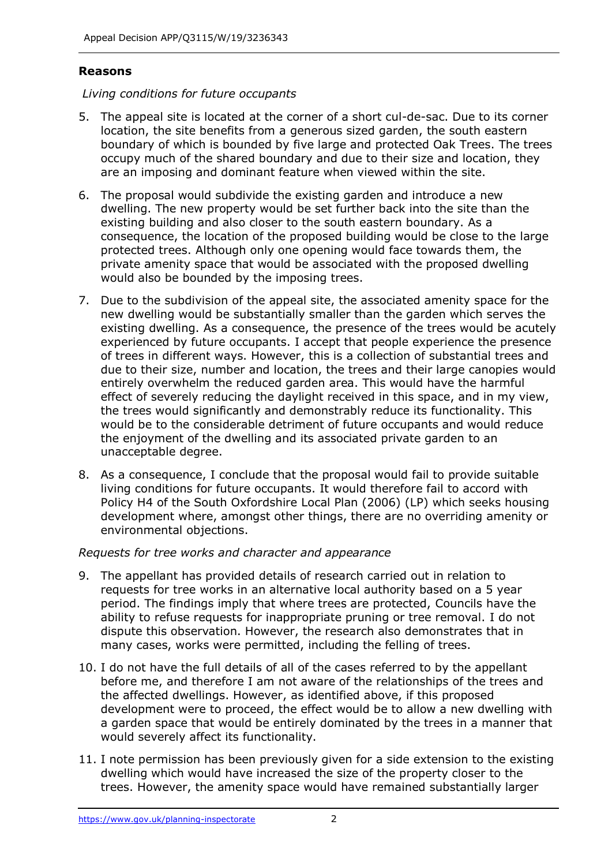## **Reasons**

## *Living conditions for future occupants*

- 5. The appeal site is located at the corner of a short cul-de-sac. Due to its corner location, the site benefits from a generous sized garden, the south eastern boundary of which is bounded by five large and protected Oak Trees. The trees occupy much of the shared boundary and due to their size and location, they are an imposing and dominant feature when viewed within the site.
- 6. The proposal would subdivide the existing garden and introduce a new dwelling. The new property would be set further back into the site than the existing building and also closer to the south eastern boundary. As a consequence, the location of the proposed building would be close to the large protected trees. Although only one opening would face towards them, the private amenity space that would be associated with the proposed dwelling would also be bounded by the imposing trees.
- 7. Due to the subdivision of the appeal site, the associated amenity space for the new dwelling would be substantially smaller than the garden which serves the existing dwelling. As a consequence, the presence of the trees would be acutely experienced by future occupants. I accept that people experience the presence of trees in different ways. However, this is a collection of substantial trees and due to their size, number and location, the trees and their large canopies would entirely overwhelm the reduced garden area. This would have the harmful effect of severely reducing the daylight received in this space, and in my view, the trees would significantly and demonstrably reduce its functionality. This would be to the considerable detriment of future occupants and would reduce the enjoyment of the dwelling and its associated private garden to an unacceptable degree.
- 8. As a consequence, I conclude that the proposal would fail to provide suitable living conditions for future occupants. It would therefore fail to accord with Policy H4 of the South Oxfordshire Local Plan (2006) (LP) which seeks housing development where, amongst other things, there are no overriding amenity or environmental objections.

### *Requests for tree works and character and appearance*

- 9. The appellant has provided details of research carried out in relation to requests for tree works in an alternative local authority based on a 5 year period. The findings imply that where trees are protected, Councils have the ability to refuse requests for inappropriate pruning or tree removal. I do not dispute this observation. However, the research also demonstrates that in many cases, works were permitted, including the felling of trees.
- 10. I do not have the full details of all of the cases referred to by the appellant before me, and therefore I am not aware of the relationships of the trees and the affected dwellings. However, as identified above, if this proposed development were to proceed, the effect would be to allow a new dwelling with a garden space that would be entirely dominated by the trees in a manner that would severely affect its functionality.
- 11. I note permission has been previously given for a side extension to the existing dwelling which would have increased the size of the property closer to the trees. However, the amenity space would have remained substantially larger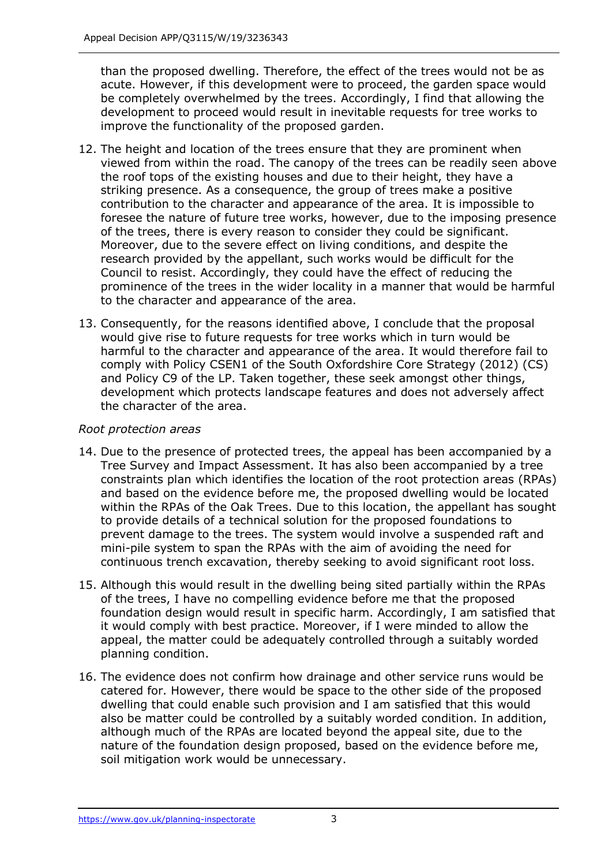than the proposed dwelling. Therefore, the effect of the trees would not be as acute. However, if this development were to proceed, the garden space would be completely overwhelmed by the trees. Accordingly, I find that allowing the development to proceed would result in inevitable requests for tree works to improve the functionality of the proposed garden.

- 12. The height and location of the trees ensure that they are prominent when viewed from within the road. The canopy of the trees can be readily seen above the roof tops of the existing houses and due to their height, they have a striking presence. As a consequence, the group of trees make a positive contribution to the character and appearance of the area. It is impossible to foresee the nature of future tree works, however, due to the imposing presence of the trees, there is every reason to consider they could be significant. Moreover, due to the severe effect on living conditions, and despite the research provided by the appellant, such works would be difficult for the Council to resist. Accordingly, they could have the effect of reducing the prominence of the trees in the wider locality in a manner that would be harmful to the character and appearance of the area.
- 13. Consequently, for the reasons identified above, I conclude that the proposal would give rise to future requests for tree works which in turn would be harmful to the character and appearance of the area. It would therefore fail to comply with Policy CSEN1 of the South Oxfordshire Core Strategy (2012) (CS) and Policy C9 of the LP. Taken together, these seek amongst other things, development which protects landscape features and does not adversely affect the character of the area.

## *Root protection areas*

- 14. Due to the presence of protected trees, the appeal has been accompanied by a Tree Survey and Impact Assessment. It has also been accompanied by a tree constraints plan which identifies the location of the root protection areas (RPAs) and based on the evidence before me, the proposed dwelling would be located within the RPAs of the Oak Trees. Due to this location, the appellant has sought to provide details of a technical solution for the proposed foundations to prevent damage to the trees. The system would involve a suspended raft and mini-pile system to span the RPAs with the aim of avoiding the need for continuous trench excavation, thereby seeking to avoid significant root loss.
- 15. Although this would result in the dwelling being sited partially within the RPAs of the trees, I have no compelling evidence before me that the proposed foundation design would result in specific harm. Accordingly, I am satisfied that it would comply with best practice. Moreover, if I were minded to allow the appeal, the matter could be adequately controlled through a suitably worded planning condition.
- 16. The evidence does not confirm how drainage and other service runs would be catered for. However, there would be space to the other side of the proposed dwelling that could enable such provision and I am satisfied that this would also be matter could be controlled by a suitably worded condition. In addition, although much of the RPAs are located beyond the appeal site, due to the nature of the foundation design proposed, based on the evidence before me, soil mitigation work would be unnecessary.